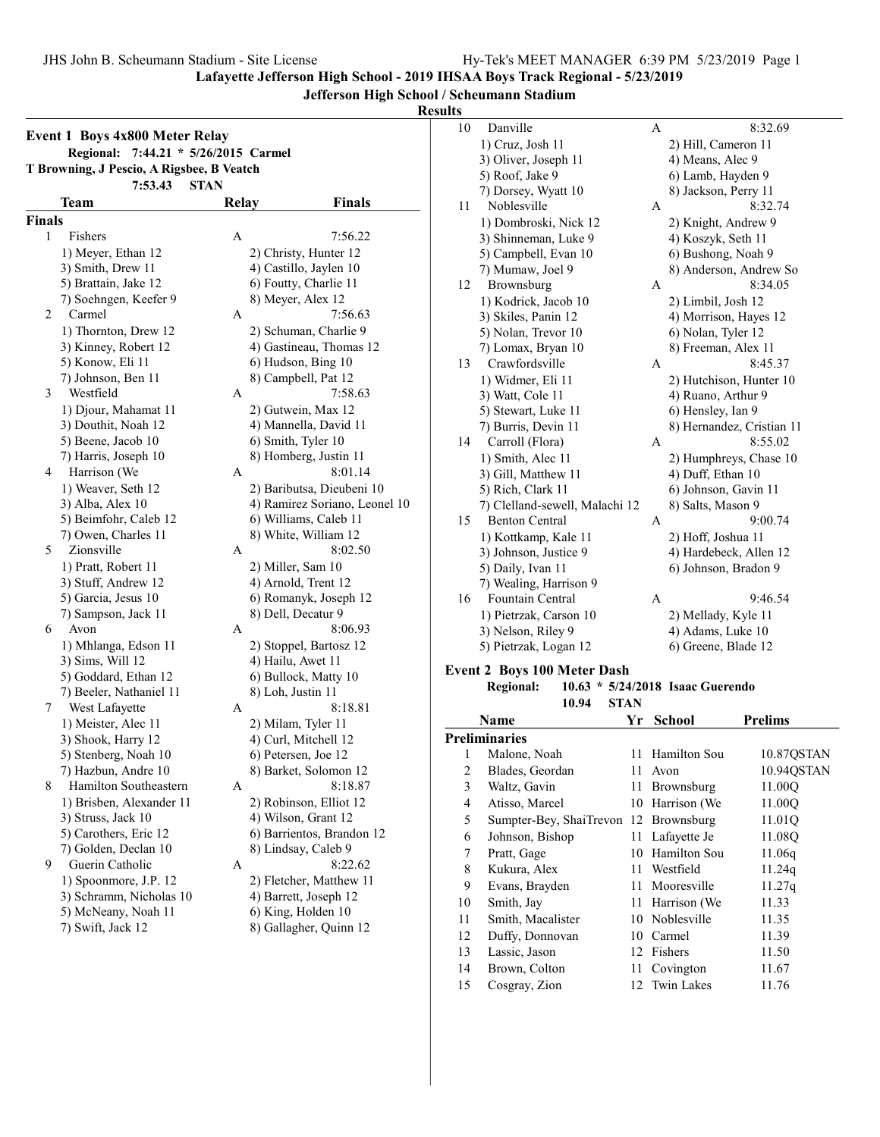Lafayette Jefferson High School - 2019 IHSAA Boys Track Regional - 5/23/2019

Jefferson High School / Scheumann Stadium

Results

|               | <b>Event 1 Boys 4x800 Meter Relay</b><br>7:44.21 * 5/26/2015 Carmel<br><b>Regional:</b><br>T Browning, J Pescio, A Rigsbee, B Veatch<br>7:53.43<br><b>STAN</b> |              |                               |
|---------------|----------------------------------------------------------------------------------------------------------------------------------------------------------------|--------------|-------------------------------|
|               | Team                                                                                                                                                           | <b>Relay</b> | <b>Finals</b>                 |
| <b>Finals</b> |                                                                                                                                                                |              |                               |
| 1             | Fishers                                                                                                                                                        | Α            | 7:56.22                       |
|               | 1) Meyer, Ethan 12                                                                                                                                             |              | 2) Christy, Hunter 12         |
|               | 3) Smith, Drew 11                                                                                                                                              |              | 4) Castillo, Jaylen 10        |
|               | 5) Brattain, Jake 12                                                                                                                                           |              | 6) Foutty, Charlie 11         |
|               | 7) Soehngen, Keefer 9                                                                                                                                          |              | 8) Meyer, Alex 12             |
| 2             | Carmel                                                                                                                                                         | А            | 7:56.63                       |
|               | 1) Thornton, Drew 12                                                                                                                                           |              | 2) Schuman, Charlie 9         |
|               | 3) Kinney, Robert 12                                                                                                                                           |              | 4) Gastineau, Thomas 12       |
|               | 5) Konow, Eli 11                                                                                                                                               |              | 6) Hudson, Bing 10            |
|               | 7) Johnson, Ben 11                                                                                                                                             |              | 8) Campbell, Pat 12           |
| 3             | Westfield                                                                                                                                                      | А            | 7:58.63                       |
|               | 1) Djour, Mahamat 11                                                                                                                                           |              | 2) Gutwein, Max 12            |
|               | 3) Douthit, Noah 12                                                                                                                                            |              | 4) Mannella, David 11         |
|               | 5) Beene, Jacob 10                                                                                                                                             |              | 6) Smith, Tyler 10            |
|               | 7) Harris, Joseph 10                                                                                                                                           |              | 8) Homberg, Justin 11         |
| 4             | Harrison (We                                                                                                                                                   | А            | 8:01.14                       |
|               | 1) Weaver, Seth 12                                                                                                                                             |              | 2) Baributsa, Dieubeni 10     |
|               | 3) Alba, Alex 10                                                                                                                                               |              | 4) Ramirez Soriano, Leonel 10 |
|               | 5) Beimfohr, Caleb 12                                                                                                                                          |              | 6) Williams, Caleb 11         |
|               | 7) Owen, Charles 11                                                                                                                                            |              | 8) White, William 12          |
| 5             | Zionsville                                                                                                                                                     | А            | 8:02.50                       |
|               | 1) Pratt, Robert 11                                                                                                                                            |              | 2) Miller, Sam 10             |
|               | 3) Stuff, Andrew 12                                                                                                                                            |              | 4) Arnold, Trent 12           |
|               | 5) Garcia, Jesus 10                                                                                                                                            |              | 6) Romanyk, Joseph 12         |
|               | 7) Sampson, Jack 11                                                                                                                                            |              | 8) Dell, Decatur 9            |
| 6             | Avon                                                                                                                                                           | А            | 8:06.93                       |
|               | 1) Mhlanga, Edson 11                                                                                                                                           |              | 2) Stoppel, Bartosz 12        |
|               | 3) Sims, Will 12                                                                                                                                               |              | 4) Hailu, Awet 11             |
|               | 5) Goddard, Ethan 12                                                                                                                                           |              | 6) Bullock, Matty 10          |
|               | 7) Beeler, Nathaniel 11                                                                                                                                        |              | 8) Loh, Justin 11             |
| 7             | West Lafayette                                                                                                                                                 | А            | 8:18.81                       |
|               | 1) Meister, Alec 11                                                                                                                                            |              | 2) Milam, Tyler 11            |
|               | 3) Shook, Harry 12                                                                                                                                             |              | 4) Curl, Mitchell 12          |
|               | 5) Stenberg, Noah 10                                                                                                                                           |              | 6) Petersen, Joe 12           |
|               | 7) Hazbun, Andre 10                                                                                                                                            |              | 8) Barket, Solomon 12         |
| 8             | Hamilton Southeastern                                                                                                                                          | А            | 8:18.87                       |
|               | 1) Brisben, Alexander 11                                                                                                                                       |              | 2) Robinson, Elliot 12        |
|               | 3) Struss, Jack 10                                                                                                                                             |              | 4) Wilson, Grant 12           |
|               | 5) Carothers, Eric 12                                                                                                                                          |              | 6) Barrientos, Brandon 12     |
|               | 7) Golden, Declan 10                                                                                                                                           |              | 8) Lindsay, Caleb 9           |
| 9             | Guerin Catholic                                                                                                                                                | А            | 8:22.62                       |
|               | 1) Spoonmore, J.P. 12                                                                                                                                          |              | 2) Fletcher, Matthew 11       |
|               | 3) Schramm, Nicholas 10                                                                                                                                        |              | 4) Barrett, Joseph 12         |
|               | 5) McNeany, Noah 11                                                                                                                                            |              | 6) King, Holden 10            |
|               | 7) Swift, Jack 12                                                                                                                                              |              |                               |

| 10 | Danville                           | А           | 8:32.69                          |
|----|------------------------------------|-------------|----------------------------------|
|    | 1) Cruz, Josh 11                   |             | 2) Hill, Cameron 11              |
|    | 3) Oliver, Joseph 11               |             | 4) Means, Alec 9                 |
|    | 5) Roof, Jake 9                    |             | 6) Lamb, Hayden 9                |
|    | 7) Dorsey, Wyatt 10                |             | 8) Jackson, Perry 11             |
| 11 | Noblesville                        | А           | 8:32.74                          |
|    | 1) Dombroski, Nick 12              |             | 2) Knight, Andrew 9              |
|    | 3) Shinneman, Luke 9               |             | 4) Koszyk, Seth 11               |
|    | 5) Campbell, Evan 10               |             | 6) Bushong, Noah 9               |
|    | 7) Mumaw, Joel 9                   |             | 8) Anderson, Andrew So           |
| 12 | Brownsburg                         | А           | 8:34.05                          |
|    | 1) Kodrick, Jacob 10               |             | 2) Limbil, Josh 12               |
|    | 3) Skiles, Panin 12                |             | 4) Morrison, Hayes 12            |
|    | 5) Nolan, Trevor 10                |             | 6) Nolan, Tyler 12               |
|    | 7) Lomax, Bryan 10                 |             | 8) Freeman, Alex 11              |
| 13 | Crawfordsville                     | А           | 8:45.37                          |
|    | 1) Widmer, Eli 11                  |             | 2) Hutchison, Hunter 10          |
|    | 3) Watt, Cole 11                   |             | 4) Ruano, Arthur 9               |
|    | 5) Stewart, Luke 11                |             | 6) Hensley, Ian 9                |
|    | 7) Burris, Devin 11                |             | 8) Hernandez, Cristian 11        |
| 14 | Carroll (Flora)                    | А           | 8:55.02                          |
|    | 1) Smith, Alec 11                  |             | 2) Humphreys, Chase 10           |
|    | 3) Gill, Matthew 11                |             | 4) Duff, Ethan 10                |
|    | 5) Rich, Clark 11                  |             | 6) Johnson, Gavin 11             |
|    | 7) Clelland-sewell, Malachi 12     |             | 8) Salts, Mason 9                |
| 15 | <b>Benton Central</b>              | А           | 9:00.74                          |
|    | 1) Kottkamp, Kale 11               |             | 2) Hoff, Joshua 11               |
|    | 3) Johnson, Justice 9              |             | 4) Hardebeck, Allen 12           |
|    | 5) Daily, Ivan 11                  |             | 6) Johnson, Bradon 9             |
|    | 7) Wealing, Harrison 9             |             |                                  |
| 16 | Fountain Central                   | A           | 9:46.54                          |
|    | 1) Pietrzak, Carson 10             |             | 2) Mellady, Kyle 11              |
|    | 3) Nelson, Riley 9                 |             | 4) Adams, Luke 10                |
|    | 5) Pietrzak, Logan 12              |             | 6) Greene, Blade 12              |
|    | <b>Event 2 Boys 100 Meter Dash</b> |             |                                  |
|    | <b>Regional:</b>                   |             | 10.63 * 5/24/2018 Isaac Guerendo |
|    | 10.94                              | <b>STAN</b> |                                  |
|    |                                    |             |                                  |

| Name |                                       | Yr | <b>School</b>   | <b>Prelims</b> |
|------|---------------------------------------|----|-----------------|----------------|
|      | Preliminaries                         |    |                 |                |
| 1    | Malone, Noah                          |    | 11 Hamilton Sou | 10.87QSTAN     |
| 2    | Blades, Geordan                       | 11 | Avon            | 10.940STAN     |
| 3    | Waltz, Gavin                          | 11 | Brownsburg      | 11.00O         |
| 4    | Atisso, Marcel                        |    | 10 Harrison (We | 11.00Q         |
| 5    | Sumpter-Bey, ShaiTrevon 12 Brownsburg |    |                 | 11.01Q         |
| 6    | Johnson, Bishop                       | 11 | Lafayette Je    | 11.08O         |
| 7    | Pratt, Gage                           | 10 | Hamilton Sou    | 11.06q         |
| 8    | Kukura, Alex                          | 11 | Westfield       | 11.24q         |
| 9    | Evans, Brayden                        | 11 | Mooresville     | 11.27q         |
| 10   | Smith, Jay                            |    | 11 Harrison (We | 11.33          |
| 11   | Smith, Macalister                     |    | 10 Noblesville  | 11.35          |
| 12   | Duffy, Donnovan                       | 10 | Carmel          | 11.39          |
| 13   | Lassic, Jason                         |    | 12 Fishers      | 11.50          |
| 14   | Brown, Colton                         |    | 11 Covington    | 11.67          |
| 15   | Cosgray, Zion                         |    | 12 Twin Lakes   | 11.76          |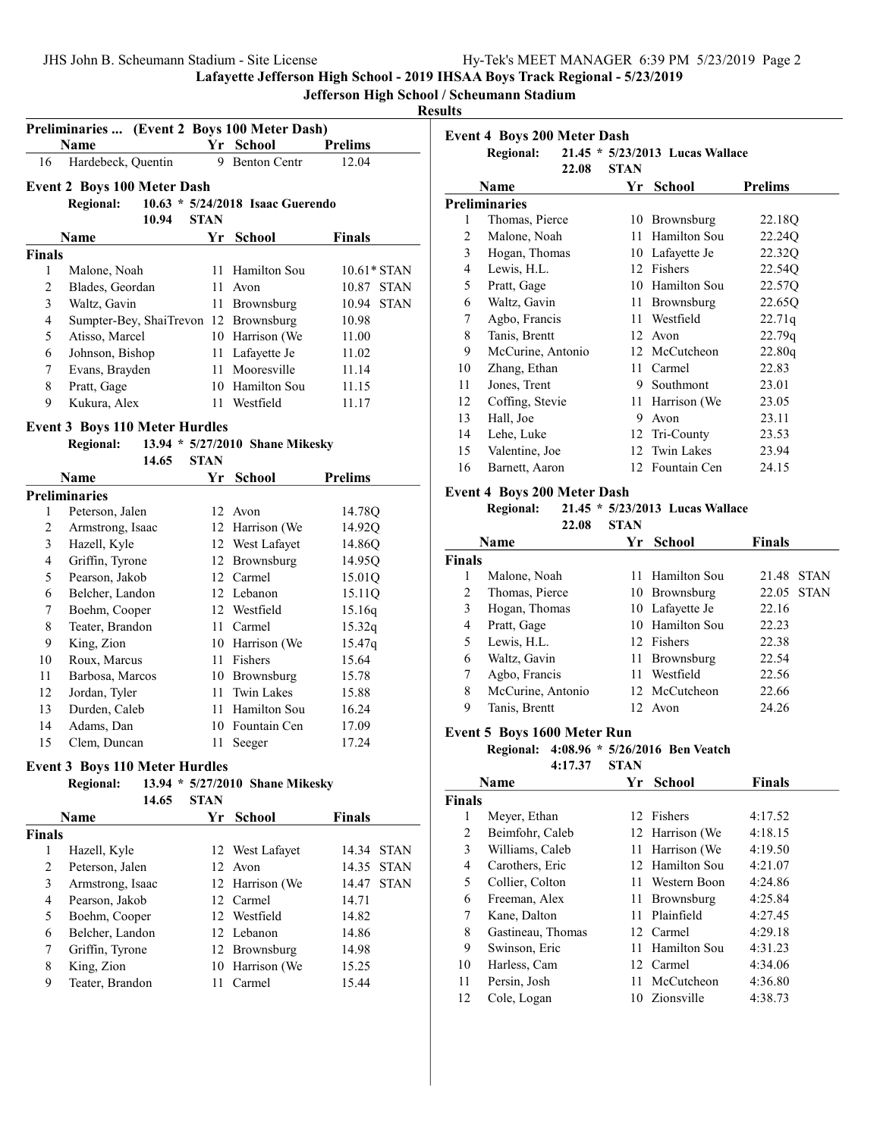| JHS John B. Scheumann Stadium - Site License | Hy-Tek's MEET MANAGER 6:39 PM 5/23/2019 Page 2 |  |
|----------------------------------------------|------------------------------------------------|--|
|                                              |                                                |  |

Lafayette Jefferson High School - 2019 IHSAA Boys Track Regional - 5/23/2019

# Jefferson High School / Scheumann Stadium

## Results

| Preliminaries  (Event 2 Boys 100 Meter Dash) |                                       |             |                                    |                      |
|----------------------------------------------|---------------------------------------|-------------|------------------------------------|----------------------|
|                                              | <b>Name</b>                           |             | Yr School                          | <b>Prelims</b>       |
| 16                                           | Hardebeck, Quentin                    |             | 9 Benton Centr                     | 12.04                |
|                                              | <b>Event 2 Boys 100 Meter Dash</b>    |             |                                    |                      |
|                                              | <b>Regional:</b>                      |             | $10.63 * 5/24/2018$ Isaac Guerendo |                      |
|                                              | 10.94                                 | <b>STAN</b> |                                    |                      |
|                                              | Name                                  | Yr          | <b>School</b>                      | <b>Finals</b>        |
| <b>Finals</b>                                |                                       |             |                                    |                      |
| 1                                            | Malone, Noah                          | 11          | Hamilton Sou                       | 10.61* STAN          |
| 2                                            | Blades, Geordan                       | 11          | Avon                               | 10.87 STAN           |
| 3                                            | Waltz, Gavin                          | 11 -        | Brownsburg                         | 10.94<br><b>STAN</b> |
| $\overline{4}$                               | Sumpter-Bey, ShaiTrevon 12 Brownsburg |             |                                    | 10.98                |
| 5                                            | Atisso, Marcel                        |             | 10 Harrison (We                    | 11.00                |
| 6                                            | Johnson, Bishop                       |             | 11 Lafayette Je                    | 11.02                |
| $\boldsymbol{7}$                             | Evans, Brayden                        |             | 11 Mooresville                     | 11.14                |
| 8                                            | Pratt, Gage                           |             | 10 Hamilton Sou                    | 11.15                |
| 9                                            | Kukura, Alex                          |             | 11 Westfield                       | 11.17                |
|                                              | <b>Event 3 Boys 110 Meter Hurdles</b> |             |                                    |                      |
|                                              | <b>Regional:</b>                      |             | 13.94 * 5/27/2010 Shane Mikesky    |                      |
|                                              | 14.65                                 | <b>STAN</b> |                                    |                      |
|                                              | Name                                  | Yr          | <b>School</b>                      | <b>Prelims</b>       |
|                                              | <b>Preliminaries</b>                  |             |                                    |                      |
| 1                                            | Peterson, Jalen                       |             | 12 Avon                            | 14.78Q               |
| $\overline{c}$                               | Armstrong, Isaac                      |             | 12 Harrison (We                    | 14.92Q               |
| 3                                            | Hazell, Kyle                          |             | 12 West Lafayet                    | 14.86Q               |
| 4                                            | Griffin, Tyrone                       |             | 12 Brownsburg                      | 14.95Q               |
| 5                                            | Pearson, Jakob                        |             | 12 Carmel                          | 15.01Q               |
| 6                                            | Belcher, Landon                       |             | 12 Lebanon                         | 15.11Q               |
| 7                                            | Boehm, Cooper                         |             | 12 Westfield                       | 15.16q               |
| 8                                            | Teater, Brandon                       | 11          | Carmel                             | 15.32q               |
| 9                                            | King, Zion                            |             | 10 Harrison (We                    | 15.47q               |
| 10                                           | Roux, Marcus                          | 11          | Fishers                            | 15.64                |
| 11                                           | Barbosa, Marcos                       |             | 10 Brownsburg                      | 15.78                |
| 12                                           | Jordan, Tyler                         | 11          | <b>Twin Lakes</b>                  | 15.88                |
| 13                                           | Durden, Caleb                         | 11          | Hamilton Sou                       | 16.24                |
| 14                                           | Adams, Dan                            |             | 10 Fountain Cen                    | 17.09                |
| 15                                           | Clem, Duncan                          | 11          | Seeger                             | 17.24                |

#### Event 3 Boys 110 Meter Hurdles

#### Regional: 13.94 \* 5/27/2010 Shane Mikesky 14.65 STAN

|               | 14.VJ            | OIAN |                 |        |             |
|---------------|------------------|------|-----------------|--------|-------------|
|               | <b>Name</b>      |      | <b>School</b>   | Finals |             |
| <b>Finals</b> |                  |      |                 |        |             |
|               | Hazell, Kyle     |      | 12 West Lafayet |        | 14.34 STAN  |
| 2             | Peterson, Jalen  |      | $12$ Avon       |        | 14.35 STAN  |
| 3             | Armstrong, Isaac |      | 12 Harrison (We | 14.47  | <b>STAN</b> |
| 4             | Pearson, Jakob   |      | 12 Carmel       | 14.71  |             |
| 5             | Boehm, Cooper    |      | 12 Westfield    | 14.82  |             |
| 6             | Belcher, Landon  |      | 12 Lebanon      | 14.86  |             |
| 7             | Griffin, Tyrone  |      | 12 Brownsburg   | 14.98  |             |
| 8             | King, Zion       |      | 10 Harrison (We | 15.25  |             |
| 9             | Teater, Brandon  |      | Carmel          | 15.44  |             |
|               |                  |      |                 |        |             |

|                | <b>Event 4 Boys 200 Meter Dash</b><br><b>Regional:</b> |       |             | 21.45 * 5/23/2013 Lucas Wallace |                |
|----------------|--------------------------------------------------------|-------|-------------|---------------------------------|----------------|
|                |                                                        | 22.08 | <b>STAN</b> |                                 |                |
|                | Name                                                   |       | Yr          | School                          | <b>Prelims</b> |
|                | Preliminaries                                          |       |             |                                 |                |
| 1              | Thomas, Pierce                                         |       |             | 10 Brownsburg                   | 22.18Q         |
| 2              | Malone, Noah                                           |       | 11          | Hamilton Sou                    | 22.24Q         |
| 3              | Hogan, Thomas                                          |       |             | 10 Lafayette Je                 | 22.32Q         |
| $\overline{4}$ | Lewis, H.L.                                            |       | 12          | Fishers                         | 22.54Q         |
| 5              | Pratt, Gage                                            |       |             | 10 Hamilton Sou                 | 22.57Q         |
| 6              | Waltz, Gavin                                           |       | 11          | Brownsburg                      | 22.65Q         |
| 7              | Agbo, Francis                                          |       | 11          | Westfield                       | 22.71q         |
| 8              | Tanis, Brentt                                          |       | 12          | Avon                            | 22.79q         |
| 9              | McCurine, Antonio                                      |       |             | 12 McCutcheon                   | 22.80q         |
| 10             | Zhang, Ethan                                           |       | 11.         | Carmel                          | 22.83          |
| 11             | Jones, Trent                                           |       | 9           | Southmont                       | 23.01          |
| 12             | Coffing, Stevie                                        |       | 11          | Harrison (We                    | 23.05          |
| 13             | Hall, Joe                                              |       | 9           | Avon                            | 23.11          |
| 14             | Lehe, Luke                                             |       | 12          | Tri-County                      | 23.53          |
| 15             | Valentine, Joe                                         |       | 12          | Twin Lakes                      | 23.94          |
| 16             | Barnett, Aaron                                         |       |             | 12 Fountain Cen                 | 24.15          |

# Event 4 Boys 200 Meter Dash

# Regional: 21.45 \* 5/23/2013 Lucas Wallace

22.08 STAN

|               | <b>Name</b>       |    | Yr School       | <b>Finals</b> |             |
|---------------|-------------------|----|-----------------|---------------|-------------|
| <b>Finals</b> |                   |    |                 |               |             |
|               | Malone, Noah      |    | 11 Hamilton Sou | 21.48         | <b>STAN</b> |
| 2             | Thomas, Pierce    |    | 10 Brownsburg   |               | 22.05 STAN  |
| 3             | Hogan, Thomas     |    | 10 Lafayette Je | 22.16         |             |
| 4             | Pratt, Gage       |    | 10 Hamilton Sou | 22.23         |             |
| 5             | Lewis, H.L.       |    | 12 Fishers      | 22.38         |             |
| 6             | Waltz, Gavin      |    | 11 Brownsburg   | 22.54         |             |
| 7             | Agbo, Francis     | 11 | Westfield       | 22.56         |             |
| 8             | McCurine, Antonio |    | 12 McCutcheon   | 22.66         |             |
| 9             | Tanis, Brentt     |    | $12$ Avon       | 24.26         |             |

### Event 5 Boys 1600 Meter Run

## Regional: 4:08.96 \* 5/26/2016 Ben Veatch 4:17.37 STAN

| <b>Name</b> |                   | Yr  | <b>School</b>   | <b>Finals</b> |
|-------------|-------------------|-----|-----------------|---------------|
| Finals      |                   |     |                 |               |
| 1           | Meyer, Ethan      |     | 12 Fishers      | 4:17.52       |
| 2           | Beimfohr, Caleb   |     | 12 Harrison (We | 4:18.15       |
| 3           | Williams, Caleb   |     | 11 Harrison (We | 4:19.50       |
| 4           | Carothers, Eric   |     | 12 Hamilton Sou | 4:21.07       |
| 5           | Collier, Colton   | 11. | Western Boon    | 4:24.86       |
| 6           | Freeman, Alex     | 11  | Brownsburg      | 4:25.84       |
| 7           | Kane, Dalton      | 11. | Plainfield      | 4:27.45       |
| 8           | Gastineau, Thomas |     | 12 Carmel       | 4:29.18       |
| 9           | Swinson, Eric     | 11  | Hamilton Sou    | 4:31.23       |
| 10          | Harless, Cam      | 12. | Carmel          | 4:34.06       |
| 11          | Persin, Josh      | 11  | McCutcheon      | 4:36.80       |
| 12          | Cole, Logan       | 10  | Zionsville      | 4:38.73       |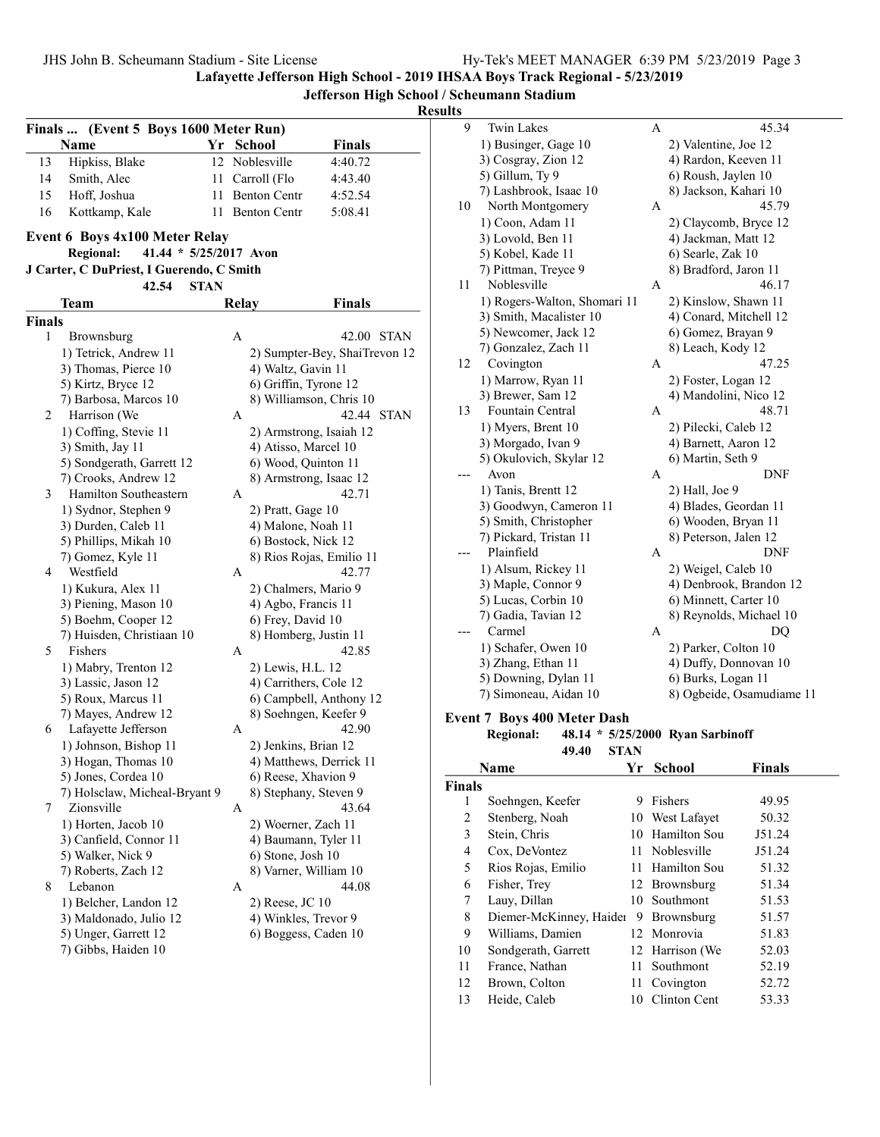Lafayette Jefferson High School - 2019 IHSAA Boys Track Regional - 5/23/2019

Jefferson High School / Scheumann Stadium

# Results

|               | (Event 5 Boys 1600 Meter Run)<br><b>Finals</b> |    |                                           |                               |
|---------------|------------------------------------------------|----|-------------------------------------------|-------------------------------|
|               | Name                                           |    | Yr School                                 | <b>Finals</b>                 |
| 13            | Hipkiss, Blake                                 |    | 12 Noblesville                            | 4:40.72                       |
| 14            | Smith, Alec                                    | 11 | Carroll (Flo                              | 4:43.40                       |
| 15            | Hoff. Joshua                                   | 11 | <b>Benton Centr</b>                       | 4:52.54                       |
| 16            | Kottkamp, Kale                                 | 11 | <b>Benton Centr</b>                       | 5:08.41                       |
|               | Event 6 Boys 4x100 Meter Relay                 |    |                                           |                               |
|               | 41.44 * 5/25/2017 Avon<br><b>Regional:</b>     |    |                                           |                               |
|               | J Carter, C DuPriest, I Guerendo, C Smith      |    |                                           |                               |
|               | 42.54<br><b>STAN</b>                           |    |                                           |                               |
|               | Team                                           |    | <b>Relay</b>                              | Finals                        |
| <b>Finals</b> |                                                |    |                                           |                               |
| 1             | Brownsburg                                     | A  |                                           | 42.00 STAN                    |
|               | 1) Tetrick, Andrew 11                          |    |                                           | 2) Sumpter-Bey, ShaiTrevon 12 |
|               | 3) Thomas, Pierce 10                           |    | 4) Waltz, Gavin 11                        |                               |
|               | 5) Kirtz, Bryce 12                             |    | 6) Griffin, Tyrone 12                     |                               |
|               | 7) Barbosa, Marcos 10                          |    | 8) Williamson, Chris 10                   |                               |
| 2             | Harrison (We                                   | A  |                                           | 42.44 STAN                    |
|               | 1) Coffing, Stevie 11                          |    | 2) Armstrong, Isaiah 12                   |                               |
|               | 3) Smith, Jay 11                               |    | 4) Atisso, Marcel 10                      |                               |
|               | 5) Sondgerath, Garrett 12                      |    | 6) Wood, Quinton 11                       |                               |
|               | 7) Crooks, Andrew 12                           |    | 8) Armstrong, Isaac 12                    |                               |
| 3             | Hamilton Southeastern                          | A  |                                           | 42.71                         |
|               | 1) Sydnor, Stephen 9                           |    | 2) Pratt, Gage 10                         |                               |
|               | 3) Durden, Caleb 11                            |    | 4) Malone, Noah 11                        |                               |
|               | 5) Phillips, Mikah 10                          |    | 6) Bostock, Nick 12                       |                               |
|               | 7) Gomez, Kyle 11                              |    | 8) Rios Rojas, Emilio 11                  |                               |
| 4             | Westfield                                      | A  |                                           | 42.77                         |
|               | 1) Kukura, Alex 11                             |    | 2) Chalmers, Mario 9                      |                               |
|               | 3) Piening, Mason 10                           |    | 4) Agbo, Francis 11                       |                               |
|               | 5) Boehm, Cooper 12                            |    | 6) Frey, David 10                         |                               |
|               | 7) Huisden, Christiaan 10                      |    | 8) Homberg, Justin 11                     |                               |
| 5             | Fishers                                        | A  |                                           | 42.85                         |
|               | 1) Mabry, Trenton 12                           |    | 2) Lewis, H.L. 12                         |                               |
|               | 3) Lassic, Jason 12                            |    | 4) Carrithers, Cole 12                    |                               |
|               | 5) Roux, Marcus 11                             |    |                                           | 6) Campbell, Anthony 12       |
|               | 7) Mayes, Andrew 12                            |    | 8) Soehngen, Keefer 9                     |                               |
| 6             | Lafayette Jefferson                            | A  |                                           | 42.90                         |
|               | 1) Johnson, Bishop 11                          |    | 2) Jenkins, Brian 12                      |                               |
|               | 3) Hogan, Thomas 10                            |    | 4) Matthews, Derrick 11                   |                               |
|               | 5) Jones, Cordea 10                            |    | 6) Reese, Xhavion 9                       |                               |
|               | 7) Holsclaw, Micheal-Bryant 9<br>Zionsville    |    | 8) Stephany, Steven 9                     |                               |
| 7             |                                                | A  |                                           | 43.64                         |
|               | 1) Horten, Jacob 10                            |    | 2) Woerner, Zach 11                       |                               |
|               | 3) Canfield, Connor 11                         |    | 4) Baumann, Tyler 11<br>6) Stone, Josh 10 |                               |
|               | 5) Walker, Nick 9<br>7) Roberts, Zach 12       |    |                                           |                               |
|               |                                                |    | 8) Varner, William 10                     |                               |
| 8             | Lebanon                                        | A  |                                           | 44.08                         |
|               | 1) Belcher, Landon 12                          |    | 2) Reese, JC 10                           |                               |
|               | 3) Maldonado, Julio 12                         |    | 4) Winkles, Trevor 9                      |                               |
|               | 5) Unger, Garrett 12                           |    | 6) Boggess, Caden 10                      |                               |
|               | 7) Gibbs, Haiden 10                            |    |                                           |                               |
|               |                                                |    |                                           |                               |

| πь |                                    |   |                                  |
|----|------------------------------------|---|----------------------------------|
| 9  | <b>Twin Lakes</b>                  | А | 45.34                            |
|    | 1) Businger, Gage 10               |   | 2) Valentine, Joe 12             |
|    | 3) Cosgray, Zion 12                |   | 4) Rardon, Keeven 11             |
|    | 5) Gillum, Ty 9                    |   | 6) Roush, Jaylen 10              |
|    | 7) Lashbrook, Isaac 10             |   | 8) Jackson, Kahari 10            |
| 10 | North Montgomery                   | A | 45.79                            |
|    | 1) Coon, Adam 11                   |   | 2) Claycomb, Bryce 12            |
|    | 3) Lovold, Ben 11                  |   | 4) Jackman, Matt 12              |
|    | 5) Kobel, Kade 11                  |   | 6) Searle, Zak 10                |
|    | 7) Pittman, Treyce 9               |   | 8) Bradford, Jaron 11            |
| 11 | Noblesville                        | A | 46.17                            |
|    | 1) Rogers-Walton, Shomari 11       |   | 2) Kinslow, Shawn 11             |
|    | 3) Smith, Macalister 10            |   | 4) Conard, Mitchell 12           |
|    | 5) Newcomer, Jack 12               |   | 6) Gomez, Brayan 9               |
|    | 7) Gonzalez, Zach 11               |   | 8) Leach, Kody 12                |
| 12 | Covington                          | А | 47.25                            |
|    | 1) Marrow, Ryan 11                 |   | 2) Foster, Logan 12              |
|    | 3) Brewer, Sam 12                  |   | 4) Mandolini, Nico 12            |
| 13 | Fountain Central                   | А | 48.71                            |
|    | 1) Myers, Brent 10                 |   | 2) Pilecki, Caleb 12             |
|    | 3) Morgado, Ivan 9                 |   | 4) Barnett, Aaron 12             |
|    | 5) Okulovich, Skylar 12            |   | 6) Martin, Seth 9                |
|    | Avon                               | A | DNF                              |
|    | 1) Tanis, Brentt 12                |   | $2)$ Hall, Joe $9$               |
|    | 3) Goodwyn, Cameron 11             |   | 4) Blades, Geordan 11            |
|    | 5) Smith, Christopher              |   | 6) Wooden, Bryan 11              |
|    | 7) Pickard, Tristan 11             |   | 8) Peterson, Jalen 12            |
|    | Plainfield                         | А | <b>DNF</b>                       |
|    | 1) Alsum, Rickey 11                |   | 2) Weigel, Caleb 10              |
|    | 3) Maple, Connor 9                 |   | 4) Denbrook, Brandon 12          |
|    | 5) Lucas, Corbin 10                |   | 6) Minnett, Carter 10            |
|    | 7) Gadia, Tavian 12                |   | 8) Reynolds, Michael 10          |
|    | Carmel                             | A | DQ                               |
|    | 1) Schafer, Owen 10                |   | 2) Parker, Colton 10             |
|    | 3) Zhang, Ethan 11                 |   | 4) Duffy, Donnovan 10            |
|    | 5) Downing, Dylan 11               |   | 6) Burks, Logan 11               |
|    | 7) Simoneau, Aidan 10              |   | 8) Ogbeide, Osamudiame 11        |
|    | <b>Event 7 Boys 400 Meter Dash</b> |   |                                  |
|    | <b>Regional:</b>                   |   | 48.14 * 5/25/2000 Ryan Sarbinoff |

|               | 49.40<br><b>STAN</b>    |     |                 |               |  |
|---------------|-------------------------|-----|-----------------|---------------|--|
|               | Name                    | Yr  | <b>School</b>   | <b>Finals</b> |  |
| <b>Finals</b> |                         |     |                 |               |  |
| 1             | Soehngen, Keefer        | 9   | Fishers         | 49.95         |  |
| 2             | Stenberg, Noah          |     | 10 West Lafayet | 50.32         |  |
| 3             | Stein, Chris            | 10  | Hamilton Sou    | J51.24        |  |
| 4             | Cox, DeVontez           | 11  | Noblesville     | J51.24        |  |
| 5             | Rios Rojas, Emilio      |     | 11 Hamilton Sou | 51.32         |  |
| 6             | Fisher, Trey            |     | 12 Brownsburg   | 51.34         |  |
| 7             | Lauy, Dillan            | 10. | Southmont       | 51.53         |  |
| 8             | Diemer-McKinney, Haider | 9   | Brownsburg      | 51.57         |  |
| 9             | Williams, Damien        |     | 12 Monrovia     | 51.83         |  |
| 10            | Sondgerath, Garrett     |     | 12 Harrison (We | 52.03         |  |
| 11            | France, Nathan          | 11. | Southmont       | 52.19         |  |
| 12            | Brown, Colton           | 11  | Covington       | 52.72         |  |
| 13            | Heide, Caleb            | 10  | Clinton Cent    | 53.33         |  |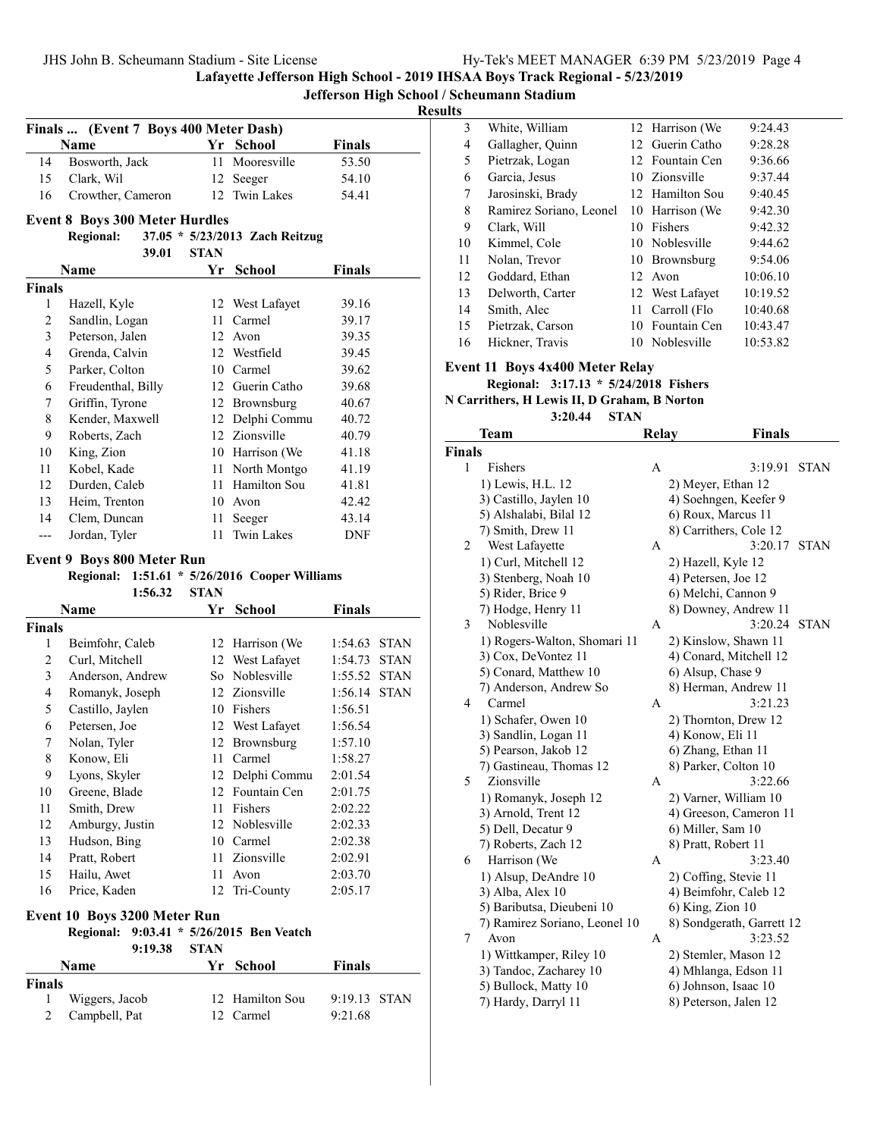JHS John B. Scheumann Stadium - Site License Hy-Tek's Manager and Hy-Tek's Manager 6:39 PM 57-23/2019 Page 4:39

Lafayette Jefferson High School - 2019 IHSAA Boys Track Regional - 5/23/2019

Jefferson High School / Scheumann Stadium

### Results

|                         | Finals  (Event 7 Boys 400 Meter Dash) |             |                                       |                        |
|-------------------------|---------------------------------------|-------------|---------------------------------------|------------------------|
|                         | <b>Name</b>                           |             | Yr School                             | Finals                 |
| 14                      | Bosworth, Jack                        | 11          | Mooresville                           | 53.50                  |
| 15                      | Clark, Wil                            |             | 12 Seeger                             | 54.10                  |
| 16                      | Crowther, Cameron                     |             | 12 Twin Lakes                         | 54.41                  |
|                         | <b>Event 8 Boys 300 Meter Hurdles</b> |             |                                       |                        |
|                         | <b>Regional:</b>                      |             | 37.05 * 5/23/2013 Zach Reitzug        |                        |
|                         | 39.01                                 | <b>STAN</b> |                                       |                        |
|                         | Name                                  | Yr          | <b>School</b>                         | Finals                 |
| <b>Finals</b>           |                                       |             |                                       |                        |
| 1                       | Hazell, Kyle                          |             | 12 West Lafayet                       | 39.16                  |
| 2                       | Sandlin, Logan                        | 11          | Carmel                                | 39.17                  |
| $\overline{\mathbf{3}}$ | Peterson, Jalen                       |             | 12 Avon                               | 39.35                  |
| $\overline{4}$          | Grenda, Calvin                        |             | 12 Westfield                          | 39.45                  |
| 5                       | Parker, Colton                        |             | 10 Carmel                             | 39.62                  |
| 6                       | Freudenthal, Billy                    |             | 12 Guerin Catho                       | 39.68                  |
| 7                       | Griffin, Tyrone                       |             | 12 Brownsburg                         | 40.67                  |
| 8                       | Kender, Maxwell                       |             | 12 Delphi Commu                       | 40.72                  |
| 9                       | Roberts, Zach                         |             | 12 Zionsville                         | 40.79                  |
| 10                      | King, Zion                            |             | 10 Harrison (We                       | 41.18                  |
| 11                      | Kobel, Kade                           | 11          | North Montgo                          | 41.19                  |
| 12                      | Durden, Caleb                         | 11          | Hamilton Sou                          | 41.81                  |
| 13                      | Heim, Trenton                         | 10          | Avon                                  | 42.42                  |
| 14                      | Clem, Duncan                          | 11          | Seeger                                | 43.14                  |
| $---$                   | Jordan, Tyler                         | 11          | <b>Twin Lakes</b>                     | <b>DNF</b>             |
|                         | <b>Event 9 Boys 800 Meter Run</b>     |             |                                       |                        |
|                         | <b>Regional:</b>                      |             | 1:51.61 $*$ 5/26/2016 Cooper Williams |                        |
|                         | 1:56.32                               | <b>STAN</b> |                                       |                        |
|                         | <b>Name</b>                           | Yr          | <b>School</b>                         | <b>Finals</b>          |
| <b>Finals</b>           |                                       |             |                                       |                        |
| 1                       | Beimfohr, Caleb                       |             | 12 Harrison (We                       | 1:54.63<br><b>STAN</b> |
| 2                       | Curl, Mitchell                        | 12          | West Lafayet                          | 1:54.73<br><b>STAN</b> |
| 3                       | Anderson, Andrew                      |             | So Noblesville                        | 1:55.52<br><b>STAN</b> |
| $\overline{4}$          | Romanyk, Joseph                       | 12          | Zionsville                            | 1:56.14<br><b>STAN</b> |

3 White, William 12 Harrison (We 9:24.43 4 Gallagher, Quinn 12 Guerin Catho 9:28.28 5 Pietrzak, Logan 12 Fountain Cen 9:36.66 6 9:37.44 Garcia, Jesus 10 Zionsville 7 Jarosinski, Brady 12 Hamilton Sou 9:40.45 8 Ramirez Soriano, Leonel 10 Harrison (We 9:42.30 9 9:42.32 Clark, Will 10 Fishers 10 Kimmel, Cole 10 Noblesville 9:44.62 11 Nolan, Trevor 10 Brownsburg 9:54.06 12 Goddard, Ethan 12 Avon 10:06.10 13 Delworth, Carter 12 West Lafayet 10:19.52 14 Smith, Alec 11 Carroll (Flo 10:40.68 15 Pietrzak, Carson 10 Fountain Cen 10:43.47

16 Hickner, Travis 10 Noblesville 10:53.82

#### Event 11 Boys 4x400 Meter Relay

Regional: 3:17.13 \* 5/24/2018 Fishers

N Carrithers, H Lewis II, D Graham, B Norton

 $3:20.44$  STAN

|               | Team                                  | <b>Relay</b> | <b>Finals</b>                        |             |
|---------------|---------------------------------------|--------------|--------------------------------------|-------------|
| <b>Finals</b> |                                       |              |                                      |             |
| 1             | Fishers                               | А            | 3:19.91                              | <b>STAN</b> |
|               | 1) Lewis, H.L. 12                     |              | 2) Meyer, Ethan 12                   |             |
|               | 3) Castillo, Jaylen 10                |              | 4) Soehngen, Keefer 9                |             |
|               | 5) Alshalabi, Bilal 12                |              | 6) Roux, Marcus 11                   |             |
|               | 7) Smith, Drew 11                     |              | 8) Carrithers, Cole 12               |             |
| 2             | West Lafayette                        | А            | 3:20.17                              | <b>STAN</b> |
|               | 1) Curl, Mitchell 12                  |              | 2) Hazell, Kyle 12                   |             |
|               | 3) Stenberg, Noah 10                  |              | 4) Petersen, Joe 12                  |             |
|               | 5) Rider, Brice 9                     |              | 6) Melchi, Cannon 9                  |             |
|               | 7) Hodge, Henry 11                    |              | 8) Downey, Andrew 11                 |             |
| 3             | Noblesville                           | A            | 3:20.24                              | <b>STAN</b> |
|               | 1) Rogers-Walton, Shomari 11          |              | 2) Kinslow, Shawn 11                 |             |
|               | 3) Cox, DeVontez 11                   |              | 4) Conard, Mitchell 12               |             |
|               | 5) Conard, Matthew 10                 |              | 6) Alsup, Chase 9                    |             |
|               | 7) Anderson, Andrew So                |              | 8) Herman, Andrew 11                 |             |
| 4             | Carmel                                | A            | 3:21.23                              |             |
|               | 1) Schafer, Owen 10                   |              | 2) Thornton, Drew 12                 |             |
|               | 3) Sandlin, Logan 11                  |              | 4) Konow, Eli 11                     |             |
|               | 5) Pearson, Jakob 12                  |              | 6) Zhang, Ethan 11                   |             |
|               | 7) Gastineau, Thomas 12               |              | 8) Parker, Colton 10                 |             |
| 5             | Zionsville                            | A            | 3:22.66                              |             |
|               | 1) Romanyk, Joseph 12                 |              | 2) Varner, William 10                |             |
|               | 3) Arnold, Trent 12                   |              | 4) Greeson, Cameron 11               |             |
|               | 5) Dell, Decatur 9                    |              | 6) Miller, Sam 10                    |             |
|               | 7) Roberts, Zach 12                   |              | 8) Pratt, Robert 11                  |             |
| 6             | Harrison (We                          | A            | 3:23.40                              |             |
|               | 1) Alsup, DeAndre 10                  |              | 2) Coffing, Stevie 11                |             |
|               | 3) Alba, Alex 10                      |              | 4) Beimfohr, Caleb 12                |             |
|               | 5) Baributsa, Dieubeni 10             |              | 6) King, Zion 10                     |             |
| 7             | 7) Ramirez Soriano, Leonel 10<br>Avon | А            | 8) Sondgerath, Garrett 12<br>3:23.52 |             |
|               | 1) Wittkamper, Riley 10               |              | 2) Stemler, Mason 12                 |             |
|               | 3) Tandoc, Zacharey 10                |              | 4) Mhlanga, Edson 11                 |             |
|               | 5) Bullock, Matty 10                  |              | 6) Johnson, Isaac 10                 |             |
|               | 7) Hardy, Darryl 11                   |              | 8) Peterson, Jalen 12                |             |

#### Event 10 Boys 3200 Meter Run

#### Regional: 9:03.41 \* 5/26/2015 Ben Veatch

5 Castillo, Jaylen 10 Fishers 1:56.51 6 Petersen, Joe 12 West Lafayet 1:56.54 7 Nolan, Tyler 12 Brownsburg 1:57.10 8 Konow, Eli 11 Carmel 1:58.27 9 2:01.54 Lyons, Skyler 12 Delphi Commu 10 Greene, Blade 12 Fountain Cen 2:01.75 11 2:02.22 Smith, Drew 11 Fishers 12 Amburgy, Justin 12 Noblesville 2:02.33 13 2:02.38 Hudson, Bing 10 Carmel 14 Pratt, Robert 11 Zionsville 2:02.91 15 2:03.70 Hailu, Awet 11 Avon 16 Price, Kaden 12 Tri-County 2:05.17

#### 9:19.38 STAN

|        | <b>Name</b>     | Yr School       | <b>Finals</b>  |  |
|--------|-----------------|-----------------|----------------|--|
| Finals |                 |                 |                |  |
|        | Wiggers, Jacob  | 12 Hamilton Sou | $9:19.13$ STAN |  |
|        | 2 Campbell, Pat | 12 Carmel       | 9:21.68        |  |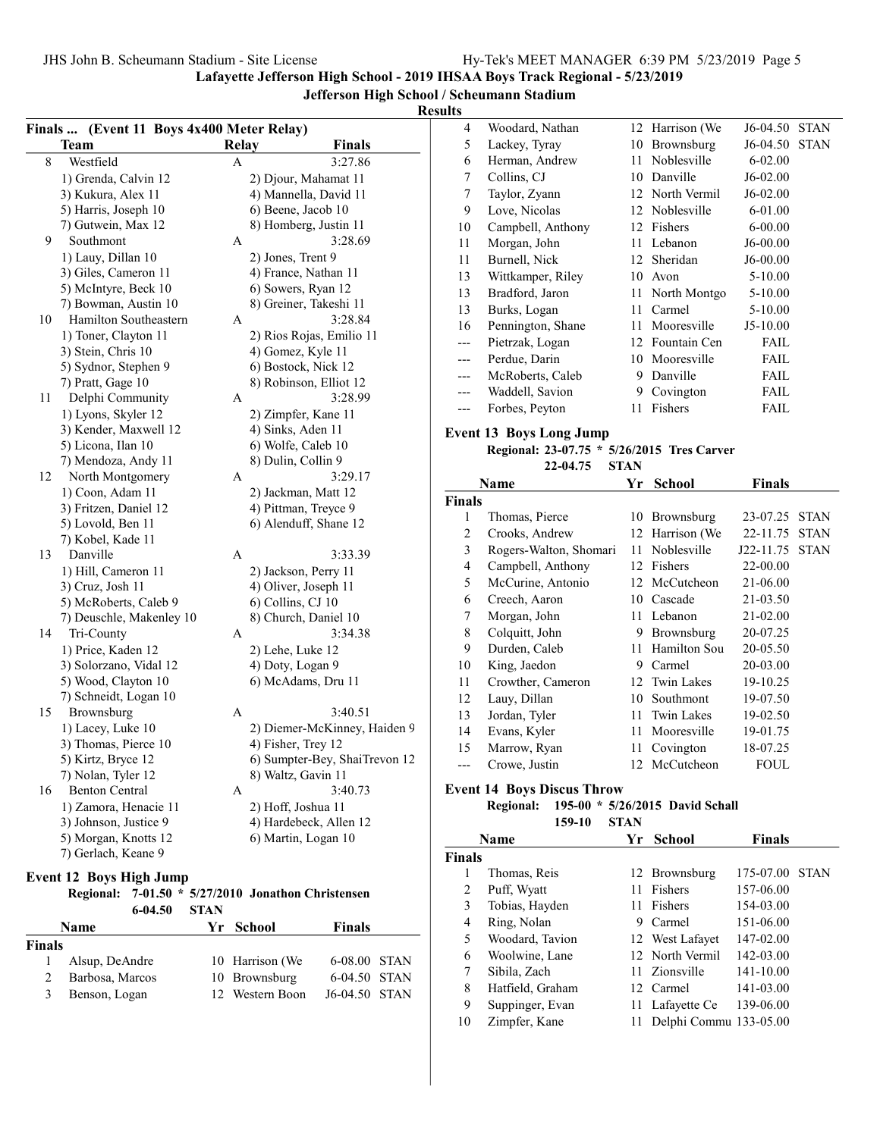Suppinger, Evan 11 Lafayette Ce 139-06.00 10 Zimpfer, Kane 11 Delphi Commu 133-05.00

Lafayette Jefferson High School - 2019 IHSAA Boys Track Regional - 5/23/2019

Jefferson High School / Scheumann Stadium

#### Results

|               | Finals  (Event 11 Boys 4x400 Meter Relay)          |              |                                          |                               | 4              | Woodard, Nathan                            |             | 12 Harrison (We | J6-04.50 STAN  |  |
|---------------|----------------------------------------------------|--------------|------------------------------------------|-------------------------------|----------------|--------------------------------------------|-------------|-----------------|----------------|--|
|               | <b>Team</b>                                        | <b>Relay</b> |                                          | <b>Finals</b>                 | 5              | Lackey, Tyray                              |             | 10 Brownsburg   | J6-04.50 STAN  |  |
| 8             | Westfield                                          | A            |                                          | 3:27.86                       | 6              | Herman, Andrew                             |             | 11 Noblesville  | 6-02.00        |  |
|               | 1) Grenda, Calvin 12                               |              | 2) Djour, Mahamat 11                     |                               | $\overline{7}$ | Collins, CJ                                |             | 10 Danville     | J6-02.00       |  |
|               | 3) Kukura, Alex 11                                 |              | 4) Mannella, David 11                    |                               | $\overline{7}$ | Taylor, Zyann                              |             | 12 North Vermil | J6-02.00       |  |
|               | 5) Harris, Joseph 10                               |              | 6) Beene, Jacob 10                       |                               | 9              | Love, Nicolas                              |             | 12 Noblesville  | 6-01.00        |  |
|               | 7) Gutwein, Max 12                                 |              | 8) Homberg, Justin 11                    |                               | 10             | Campbell, Anthony                          |             | 12 Fishers      | $6 - 00.00$    |  |
| 9             | Southmont                                          | A            |                                          | 3:28.69                       | 11             | Morgan, John                               |             | 11 Lebanon      | J6-00.00       |  |
|               | 1) Lauy, Dillan 10                                 |              | 2) Jones, Trent 9                        |                               | 11             | Burnell, Nick                              |             | 12 Sheridan     | J6-00.00       |  |
|               | 3) Giles, Cameron 11                               |              | 4) France, Nathan 11                     |                               | 13             | Wittkamper, Riley                          |             | 10 Avon         | 5-10.00        |  |
|               | 5) McIntyre, Beck 10                               |              | 6) Sowers, Ryan 12                       |                               | 13             | Bradford, Jaron                            |             | 11 North Montgo | 5-10.00        |  |
|               | 7) Bowman, Austin 10                               |              | 8) Greiner, Takeshi 11                   |                               | 13             | Burks, Logan                               |             | 11 Carmel       | 5-10.00        |  |
| 10            | Hamilton Southeastern                              | A            |                                          | 3:28.84                       | 16             | Pennington, Shane                          |             | 11 Mooresville  | $J5-10.00$     |  |
|               | 1) Toner, Clayton 11                               |              | 2) Rios Rojas, Emilio 11                 |                               | $---$          | Pietrzak, Logan                            |             | 12 Fountain Cen | FAIL           |  |
|               | 3) Stein, Chris 10                                 |              | 4) Gomez, Kyle 11                        |                               | ---            | Perdue, Darin                              |             | 10 Mooresville  | <b>FAIL</b>    |  |
|               | 5) Sydnor, Stephen 9                               |              | 6) Bostock, Nick 12                      |                               | $---$          | McRoberts, Caleb                           |             | 9 Danville      | <b>FAIL</b>    |  |
|               | 7) Pratt, Gage 10                                  | A            | 8) Robinson, Elliot 12                   | 3:28.99                       | $---$          | Waddell, Savion                            |             | 9 Covington     | <b>FAIL</b>    |  |
| 11            | Delphi Community                                   |              |                                          |                               | ---            | Forbes, Peyton                             |             | 11 Fishers      | <b>FAIL</b>    |  |
|               | 1) Lyons, Skyler 12<br>3) Kender, Maxwell 12       |              | 2) Zimpfer, Kane 11<br>4) Sinks, Aden 11 |                               |                |                                            |             |                 |                |  |
|               | 5) Licona, Ilan 10                                 |              | 6) Wolfe, Caleb 10                       |                               |                | <b>Event 13 Boys Long Jump</b>             |             |                 |                |  |
|               | 7) Mendoza, Andy 11                                |              | 8) Dulin, Collin 9                       |                               |                | Regional: 23-07.75 * 5/26/2015 Tres Carver |             |                 |                |  |
| 12            | North Montgomery                                   | A            |                                          | 3:29.17                       |                | 22-04.75                                   | <b>STAN</b> |                 |                |  |
|               | 1) Coon, Adam 11                                   |              | 2) Jackman, Matt 12                      |                               |                | Name                                       |             | Yr School       | <b>Finals</b>  |  |
|               | 3) Fritzen, Daniel 12                              |              | 4) Pittman, Treyce 9                     |                               | <b>Finals</b>  |                                            |             |                 |                |  |
|               | 5) Lovold, Ben 11                                  |              | 6) Alenduff, Shane 12                    |                               | 1              | Thomas, Pierce                             |             | 10 Brownsburg   | 23-07.25 STAN  |  |
|               | 7) Kobel, Kade 11                                  |              |                                          |                               | $\overline{2}$ | Crooks, Andrew                             |             | 12 Harrison (We | 22-11.75 STAN  |  |
| 13            | Danville                                           | A            |                                          | 3:33.39                       | 3              | Rogers-Walton, Shomari                     |             | 11 Noblesville  | J22-11.75 STAN |  |
|               | 1) Hill, Cameron 11                                |              | 2) Jackson, Perry 11                     |                               | 4              | Campbell, Anthony                          |             | 12 Fishers      | 22-00.00       |  |
|               | 3) Cruz, Josh 11                                   |              | 4) Oliver, Joseph 11                     |                               | 5              | McCurine, Antonio                          |             | 12 McCutcheon   | 21-06.00       |  |
|               | 5) McRoberts, Caleb 9                              |              | 6) Collins, CJ 10                        |                               | 6              | Creech, Aaron                              |             | 10 Cascade      | 21-03.50       |  |
|               | 7) Deuschle, Makenley 10                           |              | 8) Church, Daniel 10                     |                               | 7              | Morgan, John                               |             | 11 Lebanon      | 21-02.00       |  |
| 14            | Tri-County                                         | A            |                                          | 3:34.38                       | 8              | Colquitt, John                             |             | 9 Brownsburg    | 20-07.25       |  |
|               | 1) Price, Kaden 12                                 |              | 2) Lehe, Luke 12                         |                               | 9              | Durden, Caleb                              |             | 11 Hamilton Sou | 20-05.50       |  |
|               | 3) Solorzano, Vidal 12                             |              | 4) Doty, Logan 9                         |                               | 10             | King, Jaedon                               |             | 9 Carmel        | 20-03.00       |  |
|               | 5) Wood, Clayton 10                                |              | 6) McAdams, Dru 11                       |                               | 11             | Crowther, Cameron                          |             | 12 Twin Lakes   | 19-10.25       |  |
|               | 7) Schneidt, Logan 10                              |              |                                          | 3:40.51                       | 12             | Lauy, Dillan                               |             | 10 Southmont    | 19-07.50       |  |
| 15            | Brownsburg<br>1) Lacey, Luke 10                    | A            |                                          | 2) Diemer-McKinney, Haiden 9  | 13             | Jordan, Tyler                              |             | 11 Twin Lakes   | 19-02.50       |  |
|               | 3) Thomas, Pierce 10                               |              | 4) Fisher, Trey 12                       |                               | 14             | Evans, Kyler                               |             | 11 Mooresville  | 19-01.75       |  |
|               | 5) Kirtz, Bryce 12                                 |              |                                          | 6) Sumpter-Bey, ShaiTrevon 12 | 15             | Marrow, Ryan                               |             | 11 Covington    | 18-07.25       |  |
|               | 7) Nolan, Tyler 12                                 |              | 8) Waltz, Gavin 11                       |                               |                | Crowe, Justin                              |             | 12 McCutcheon   | <b>FOUL</b>    |  |
| 16            | <b>Benton Central</b>                              | A            |                                          | 3:40.73                       |                | <b>Event 14 Boys Discus Throw</b>          |             |                 |                |  |
|               | 1) Zamora, Henacie 11                              |              | 2) Hoff, Joshua 11                       |                               |                | Regional: 195-00 * 5/26/2015 David Schall  |             |                 |                |  |
|               | 3) Johnson, Justice 9                              |              | 4) Hardebeck, Allen 12                   |                               |                | 159-10                                     | <b>STAN</b> |                 |                |  |
|               | 5) Morgan, Knotts 12                               |              | 6) Martin, Logan 10                      |                               |                | Name                                       |             | Yr School       | <b>Finals</b>  |  |
|               | 7) Gerlach, Keane 9                                |              |                                          |                               | Finals         |                                            |             |                 |                |  |
|               | <b>Event 12 Boys High Jump</b>                     |              |                                          |                               | $\mathbf{1}$   | Thomas, Reis                               |             | 12 Brownsburg   | 175-07.00 STAN |  |
|               | Regional: 7-01.50 * 5/27/2010 Jonathon Christensen |              |                                          |                               | $\overline{2}$ | Puff, Wyatt                                |             | 11 Fishers      | 157-06.00      |  |
|               | 6-04.50                                            | <b>STAN</b>  |                                          |                               | 3              | Tobias, Hayden                             |             | 11 Fishers      | 154-03.00      |  |
|               | <b>Name</b>                                        | Yr School    |                                          | <b>Finals</b>                 | $\overline{4}$ | Ring, Nolan                                |             | 9 Carmel        | 151-06.00      |  |
| <b>Finals</b> |                                                    |              |                                          |                               | 5              | Woodard, Tavion                            |             | 12 West Lafayet | 147-02.00      |  |
| 1             | Alsup, DeAndre                                     |              | 10 Harrison (We                          | 6-08.00 STAN                  | 6              | Woolwine, Lane                             |             | 12 North Vermil | 142-03.00      |  |
| 2             | Barbosa, Marcos                                    |              | 10 Brownsburg                            | 6-04.50 STAN                  | 7              | Sibila, Zach                               |             | 11 Zionsville   | 141-10.00      |  |
| 3             | Benson, Logan                                      |              | 12 Western Boon                          | J6-04.50 STAN                 | 8              | Hatfield, Graham                           |             | 12 Carmel       | 141-03.00      |  |
|               |                                                    |              |                                          |                               | 9              | Suppinger, Evan                            |             | 11 Lafavette Ce | 139-06.00      |  |